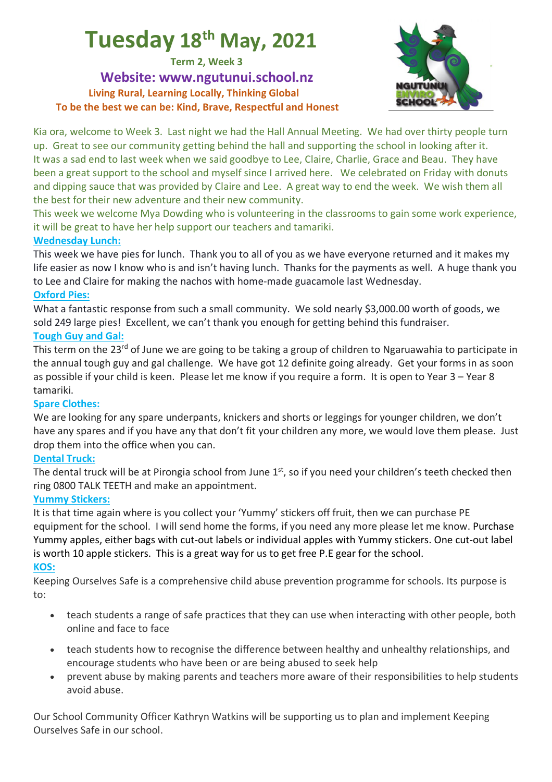# **Tuesday 18th May, 2021**

**Term 2, Week 3**

**Website: www.ngutunui.school.nz Living Rural, Learning Locally, Thinking Global To be the best we can be: Kind, Brave, Respectful and Honest**



Kia ora, welcome to Week 3. Last night we had the Hall Annual Meeting. We had over thirty people turn up. Great to see our community getting behind the hall and supporting the school in looking after it. It was a sad end to last week when we said goodbye to Lee, Claire, Charlie, Grace and Beau. They have been a great support to the school and myself since I arrived here. We celebrated on Friday with donuts and dipping sauce that was provided by Claire and Lee. A great way to end the week. We wish them all the best for their new adventure and their new community.

This week we welcome Mya Dowding who is volunteering in the classrooms to gain some work experience, it will be great to have her help support our teachers and tamariki.

# **Wednesday Lunch:**

This week we have pies for lunch. Thank you to all of you as we have everyone returned and it makes my life easier as now I know who is and isn't having lunch. Thanks for the payments as well. A huge thank you to Lee and Claire for making the nachos with home-made guacamole last Wednesday.

# **Oxford Pies:**

What a fantastic response from such a small community. We sold nearly \$3,000.00 worth of goods, we sold 249 large pies! Excellent, we can't thank you enough for getting behind this fundraiser.

# **Tough Guy and Gal:**

This term on the 23<sup>rd</sup> of June we are going to be taking a group of children to Ngaruawahia to participate in the annual tough guy and gal challenge. We have got 12 definite going already. Get your forms in as soon as possible if your child is keen. Please let me know if you require a form. It is open to Year 3 – Year 8 tamariki.

# **Spare Clothes:**

We are looking for any spare underpants, knickers and shorts or leggings for younger children, we don't have any spares and if you have any that don't fit your children any more, we would love them please. Just drop them into the office when you can.

# **Dental Truck:**

The dental truck will be at Pirongia school from June 1<sup>st</sup>, so if you need your children's teeth checked then ring 0800 TALK TEETH and make an appointment.

# **Yummy Stickers:**

It is that time again where is you collect your 'Yummy' stickers off fruit, then we can purchase PE equipment for the school. I will send home the forms, if you need any more please let me know. Purchase Yummy apples, either bags with cut-out labels or individual apples with Yummy stickers. One cut-out label is worth 10 apple stickers. This is a great way for us to get free P.E gear for the school.

# **KOS:**

Keeping Ourselves Safe is a comprehensive child abuse prevention programme for schools. Its purpose is to:

- teach students a range of safe practices that they can use when interacting with other people, both online and face to face
- teach students how to recognise the difference between healthy and unhealthy relationships, and encourage students who have been or are being abused to seek help
- prevent abuse by making parents and teachers more aware of their responsibilities to help students avoid abuse.

Our School Community Officer Kathryn Watkins will be supporting us to plan and implement Keeping Ourselves Safe in our school.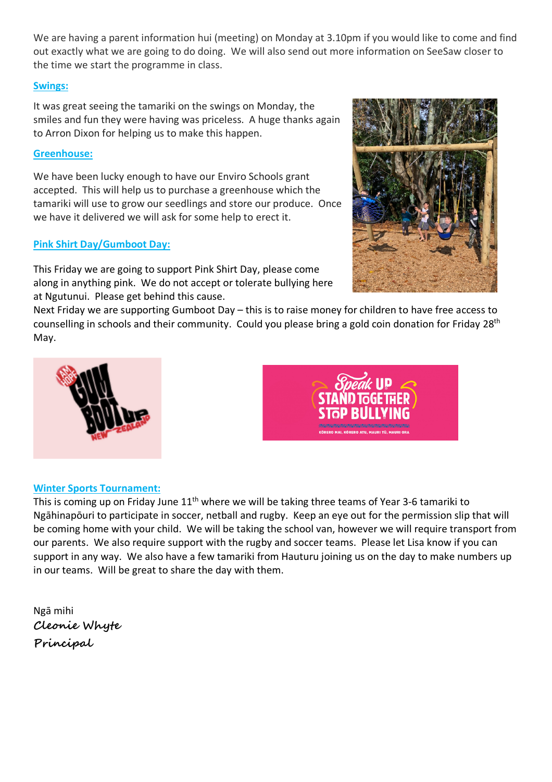We are having a parent information hui (meeting) on Monday at 3.10pm if you would like to come and find out exactly what we are going to do doing. We will also send out more information on SeeSaw closer to the time we start the programme in class.

#### **Swings:**

It was great seeing the tamariki on the swings on Monday, the smiles and fun they were having was priceless. A huge thanks again to Arron Dixon for helping us to make this happen.

#### **Greenhouse:**

We have been lucky enough to have our Enviro Schools grant accepted. This will help us to purchase a greenhouse which the tamariki will use to grow our seedlings and store our produce. Once we have it delivered we will ask for some help to erect it.

#### **Pink Shirt Day/Gumboot Day:**

This Friday we are going to support Pink Shirt Day, please come along in anything pink. We do not accept or tolerate bullying here at Ngutunui. Please get behind this cause.

Next Friday we are supporting Gumboot Day – this is to raise money for children to have free access to counselling in schools and their community. Could you please bring a gold coin donation for Friday 28th May.



This is coming up on Friday June  $11<sup>th</sup>$  where we will be taking three teams of Year 3-6 tamariki to Ngāhinapōuri to participate in soccer, netball and rugby. Keep an eye out for the permission slip that will be coming home with your child. We will be taking the school van, however we will require transport from our parents. We also require support with the rugby and soccer teams. Please let Lisa know if you can support in any way. We also have a few tamariki from Hauturu joining us on the day to make numbers up in our teams. Will be great to share the day with them.

Ngā mihi **Cleonie Whyte Principal**